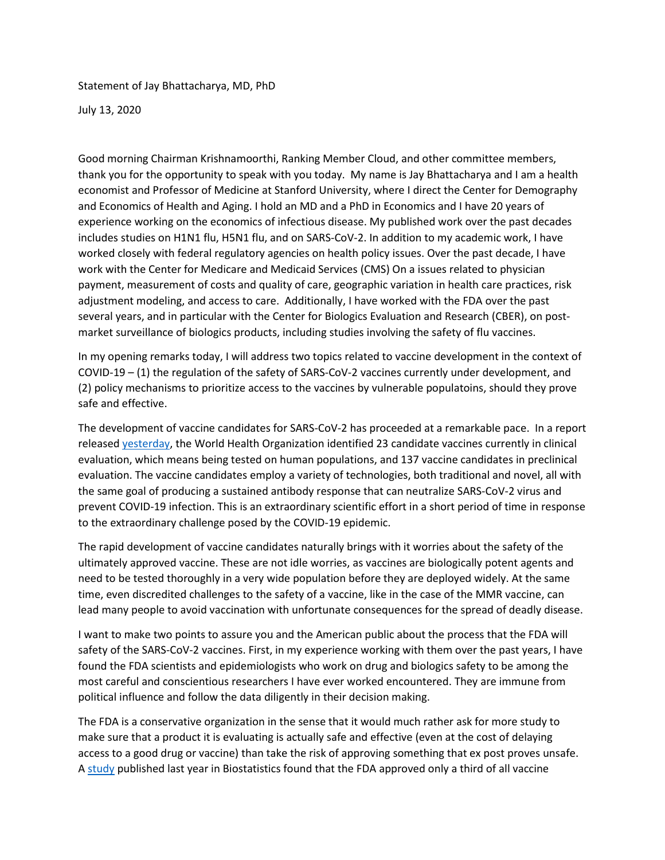Statement of Jay Bhattacharya, MD, PhD

July 13, 2020

Good morning Chairman Krishnamoorthi, Ranking Member Cloud, and other committee members, thank you for the opportunity to speak with you today. My name is Jay Bhattacharya and I am a health economist and Professor of Medicine at Stanford University, where I direct the Center for Demography and Economics of Health and Aging. I hold an MD and a PhD in Economics and I have 20 years of experience working on the economics of infectious disease. My published work over the past decades includes studies on H1N1 flu, H5N1 flu, and on SARS-CoV-2. In addition to my academic work, I have worked closely with federal regulatory agencies on health policy issues. Over the past decade, I have work with the Center for Medicare and Medicaid Services (CMS) On a issues related to physician payment, measurement of costs and quality of care, geographic variation in health care practices, risk adjustment modeling, and access to care. Additionally, I have worked with the FDA over the past several years, and in particular with the Center for Biologics Evaluation and Research (CBER), on postmarket surveillance of biologics products, including studies involving the safety of flu vaccines.

In my opening remarks today, I will address two topics related to vaccine development in the context of COVID-19 – (1) the regulation of the safety of SARS-CoV-2 vaccines currently under development, and (2) policy mechanisms to prioritize access to the vaccines by vulnerable populatoins, should they prove safe and effective.

The development of vaccine candidates for SARS-CoV-2 has proceeded at a remarkable pace. In a report release[d yesterday,](https://www.who.int/publications/m/item/draft-landscape-of-covid-19-candidate-vaccines) the World Health Organization identified 23 candidate vaccines currently in clinical evaluation, which means being tested on human populations, and 137 vaccine candidates in preclinical evaluation. The vaccine candidates employ a variety of technologies, both traditional and novel, all with the same goal of producing a sustained antibody response that can neutralize SARS-CoV-2 virus and prevent COVID-19 infection. This is an extraordinary scientific effort in a short period of time in response to the extraordinary challenge posed by the COVID-19 epidemic.

The rapid development of vaccine candidates naturally brings with it worries about the safety of the ultimately approved vaccine. These are not idle worries, as vaccines are biologically potent agents and need to be tested thoroughly in a very wide population before they are deployed widely. At the same time, even discredited challenges to the safety of a vaccine, like in the case of the MMR vaccine, can lead many people to avoid vaccination with unfortunate consequences for the spread of deadly disease.

I want to make two points to assure you and the American public about the process that the FDA will safety of the SARS-CoV-2 vaccines. First, in my experience working with them over the past years, I have found the FDA scientists and epidemiologists who work on drug and biologics safety to be among the most careful and conscientious researchers I have ever worked encountered. They are immune from political influence and follow the data diligently in their decision making.

The FDA is a conservative organization in the sense that it would much rather ask for more study to make sure that a product it is evaluating is actually safe and effective (even at the cost of delaying access to a good drug or vaccine) than take the risk of approving something that ex post proves unsafe. A [study](https://www.acsh.org/news/2020/06/11/clinical-trial-success-rates-phase-and-therapeutic-area-14845) published last year in Biostatistics found that the FDA approved only a third of all vaccine